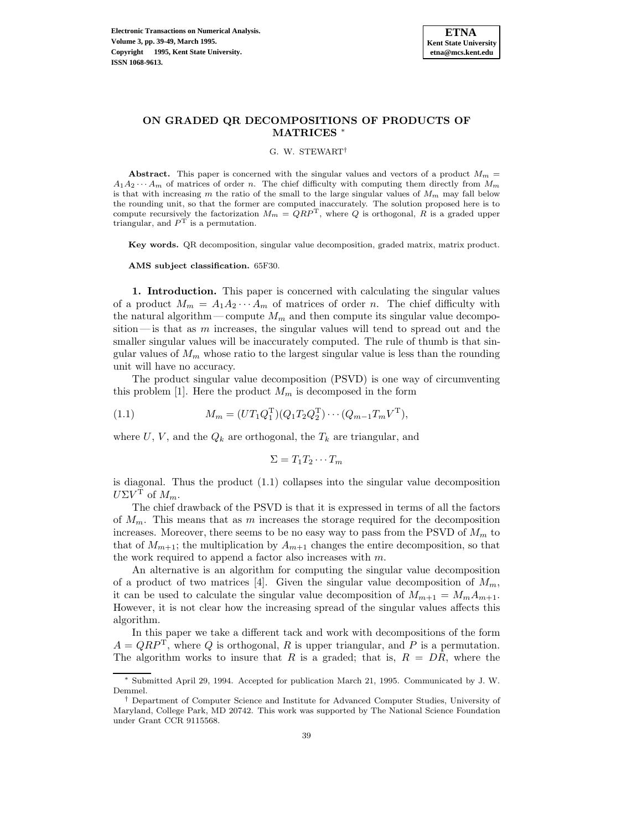## **ON GRADED QR DECOMPOSITIONS OF PRODUCTS OF MATRICES** <sup>∗</sup>

G. W. STEWART†

**Abstract.** This paper is concerned with the singular values and vectors of a product  $M_m$  =  $A_1A_2\cdots A_m$  of matrices of order n. The chief difficulty with computing them directly from  $M_m$ is that with increasing m the ratio of the small to the large singular values of  $M_m$  may fall below the rounding unit, so that the former are computed inaccurately. The solution proposed here is to compute recursively the factorization  $M_m = QRP^T$ , where Q is orthogonal, R is a graded upper triangular, and  $P<sup>T</sup>$  is a permutation.

**Key words.** QR decomposition, singular value decomposition, graded matrix, matrix product.

**AMS subject classification.** 65F30.

**1. Introduction.** This paper is concerned with calculating the singular values of a product  $M_m = A_1 A_2 \cdots A_m$  of matrices of order n. The chief difficulty with the natural algorithm—compute  $M_m$  and then compute its singular value decomposition—is that as  $m$  increases, the singular values will tend to spread out and the smaller singular values will be inaccurately computed. The rule of thumb is that singular values of  $M_m$  whose ratio to the largest singular value is less than the rounding unit will have no accuracy.

The product singular value decomposition (PSVD) is one way of circumventing this problem [1]. Here the product  $M_m$  is decomposed in the form

(1.1) 
$$
M_m = (UT_1Q_1^{\mathrm{T}})(Q_1T_2Q_2^{\mathrm{T}})\cdots (Q_{m-1}T_mV^{\mathrm{T}}),
$$

where U, V, and the  $Q_k$  are orthogonal, the  $T_k$  are triangular, and

$$
\Sigma = T_1 T_2 \cdots T_m
$$

is diagonal. Thus the product (1.1) collapses into the singular value decomposition  $U\Sigma V^{\mathrm{T}}$  of  $M_m$ .

The chief drawback of the PSVD is that it is expressed in terms of all the factors of  $M_m$ . This means that as m increases the storage required for the decomposition increases. Moreover, there seems to be no easy way to pass from the PSVD of  $M_m$  to that of  $M_{m+1}$ ; the multiplication by  $A_{m+1}$  changes the entire decomposition, so that the work required to append a factor also increases with  $m$ .

An alternative is an algorithm for computing the singular value decomposition of a product of two matrices [4]. Given the singular value decomposition of  $M_m$ , it can be used to calculate the singular value decomposition of  $M_{m+1} = M_m A_{m+1}$ . However, it is not clear how the increasing spread of the singular values affects this algorithm.

In this paper we take a different tack and work with decompositions of the form  $A = QRP<sup>T</sup>$ , where Q is orthogonal, R is upper triangular, and P is a permutation. The algorithm works to insure that R is a graded; that is,  $R = D\hat{R}$ , where the

<sup>∗</sup> Submitted April 29, 1994. Accepted for publication March 21, 1995. Communicated by J. W. Demmel.

<sup>†</sup> Department of Computer Science and Institute for Advanced Computer Studies, University of Maryland, College Park, MD 20742. This work was supported by The National Science Foundation under Grant CCR 9115568.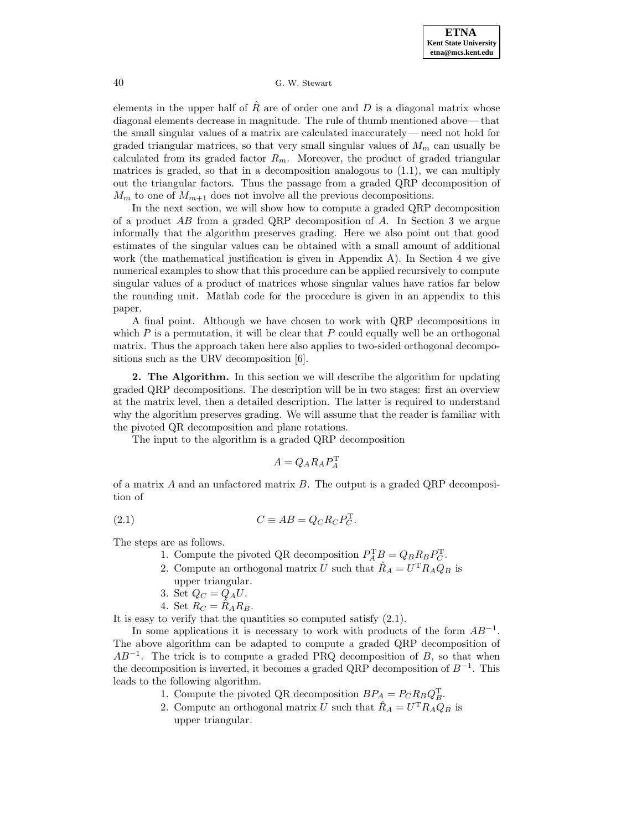elements in the upper half of  $\hat{R}$  are of order one and D is a diagonal matrix whose diagonal elements decrease in magnitude. The rule of thumb mentioned above—that the small singular values of a matrix are calculated inaccurately—need not hold for graded triangular matrices, so that very small singular values of  $M_m$  can usually be calculated from its graded factor  $R_m$ . Moreover, the product of graded triangular matrices is graded, so that in a decomposition analogous to  $(1.1)$ , we can multiply out the triangular factors. Thus the passage from a graded QRP decomposition of  $M_m$  to one of  $M_{m+1}$  does not involve all the previous decompositions.

In the next section, we will show how to compute a graded QRP decomposition of a product AB from a graded QRP decomposition of A. In Section 3 we argue informally that the algorithm preserves grading. Here we also point out that good estimates of the singular values can be obtained with a small amount of additional work (the mathematical justification is given in Appendix A). In Section 4 we give numerical examples to show that this procedure can be applied recursively to compute singular values of a product of matrices whose singular values have ratios far below the rounding unit. Matlab code for the procedure is given in an appendix to this paper.

A final point. Although we have chosen to work with QRP decompositions in which  $P$  is a permutation, it will be clear that  $P$  could equally well be an orthogonal matrix. Thus the approach taken here also applies to two-sided orthogonal decompositions such as the URV decomposition [6].

**2. The Algorithm.** In this section we will describe the algorithm for updating graded QRP decompositions. The description will be in two stages: first an overview at the matrix level, then a detailed description. The latter is required to understand why the algorithm preserves grading. We will assume that the reader is familiar with the pivoted QR decomposition and plane rotations.

The input to the algorithm is a graded QRP decomposition

$$
A = Q_A R_A P_A^{\mathrm{T}}
$$

of a matrix  $A$  and an unfactored matrix  $B$ . The output is a graded QRP decomposition of

(2.1) 
$$
C \equiv AB = Q_C R_C P_C^{\mathrm{T}}.
$$

The steps are as follows.

- 1. Compute the pivoted QR decomposition  $P_A^{\mathrm{T}}B = Q_B R_B P_C^{\mathrm{T}}$ .
- 2. Compute an orthogonal matrix U such that  $\hat{R}_A = U^{\mathrm{T}} R_A Q_B$  is upper triangular.
- 3. Set  $Q_C = Q_A U$ .
- 4. Set  $R_C = \hat{R}_A R_B$ .

It is easy to verify that the quantities so computed satisfy (2.1).

In some applications it is necessary to work with products of the form  $AB^{-1}$ . The above algorithm can be adapted to compute a graded QRP decomposition of  $AB^{-1}$ . The trick is to compute a graded PRQ decomposition of B, so that when the decomposition is inverted, it becomes a graded QRP decomposition of  $B^{-1}$ . This leads to the following algorithm.

- 1. Compute the pivoted QR decomposition  $BP_A = P_C R_B Q_B^T$ .
- 2. Compute an orthogonal matrix U such that  $\hat{R}_A = U^{\mathrm{T}} R_A Q_B$  is upper triangular.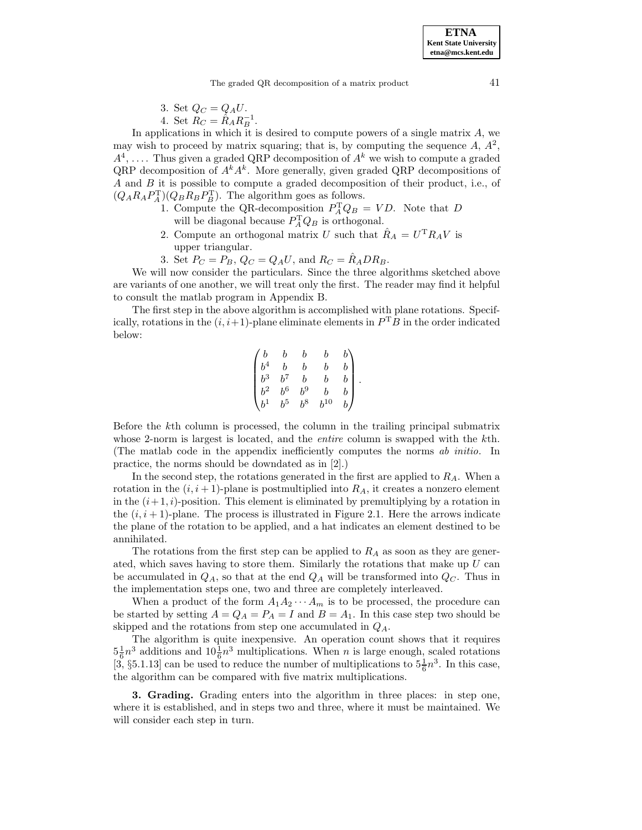3. Set 
$$
Q_C = Q_A U
$$
. 4. Set  $R_C = \hat{R}_A R_B^{-1}$ .

In applications in which it is desired to compute powers of a single matrix A, we may wish to proceed by matrix squaring; that is, by computing the sequence  $A, A^2$ ,  $A^4, \ldots$  Thus given a graded QRP decomposition of  $A^k$  we wish to compute a graded QRP decomposition of  $A^k A^k$ . More generally, given graded QRP decompositions of A and B it is possible to compute a graded decomposition of their product, i.e., of  $(Q_A R_A P_A^T)(Q_B R_B P_B^T)$ . The algorithm goes as follows.

- 1. Compute the QR-decomposition  $P_A^{\rm T} Q_B = V D$ . Note that D will be diagonal because  $P_A^{\mathrm{T}} Q_B$  is orthogonal.
- 2. Compute an orthogonal matrix U such that  $\hat{R}_A = U^{\mathrm{T}} R_A V$  is upper triangular.
- 3. Set  $P_C = P_B$ ,  $Q_C = Q_A U$ , and  $R_C = \hat{R}_A D R_B$ .

We will now consider the particulars. Since the three algorithms sketched above are variants of one another, we will treat only the first. The reader may find it helpful to consult the matlab program in Appendix B.

The first step in the above algorithm is accomplished with plane rotations. Specifically, rotations in the  $(i, i+1)$ -plane eliminate elements in  $P<sup>T</sup>B$  in the order indicated below:

$$
\begin{pmatrix} b & b & b & b & b \\ b^4 & b & b & b & b \\ b^3 & b^7 & b & b & b \\ b^2 & b^6 & b^9 & b & b \\ b^1 & b^5 & b^8 & b^{10} & b \end{pmatrix}.
$$

Before the kth column is processed, the column in the trailing principal submatrix whose 2-norm is largest is located, and the *entire* column is swapped with the kth. (The matlab code in the appendix inefficiently computes the norms ab initio. In practice, the norms should be downdated as in [2].)

In the second step, the rotations generated in the first are applied to  $R_A$ . When a rotation in the  $(i, i + 1)$ -plane is postmultiplied into  $R_A$ , it creates a nonzero element in the  $(i+1, i)$ -position. This element is eliminated by premultiplying by a rotation in the  $(i, i + 1)$ -plane. The process is illustrated in Figure 2.1. Here the arrows indicate the plane of the rotation to be applied, and a hat indicates an element destined to be annihilated.

The rotations from the first step can be applied to  $R_A$  as soon as they are generated, which saves having to store them. Similarly the rotations that make up  $U$  can be accumulated in  $Q_A$ , so that at the end  $Q_A$  will be transformed into  $Q_C$ . Thus in the implementation steps one, two and three are completely interleaved.

When a product of the form  $A_1A_2\cdots A_m$  is to be processed, the procedure can be started by setting  $A = Q_A = P_A = I$  and  $B = A_1$ . In this case step two should be skipped and the rotations from step one accumulated in  $Q_A$ .

The algorithm is quite inexpensive. An operation count shows that it requires  $5\frac{1}{6}n^3$  additions and  $10\frac{1}{6}n^3$  multiplications. When n is large enough, scaled rotations [3, §5.1.13] can be used to reduce the number of multiplications to  $5\frac{1}{6}n^3$ . In this case, the algorithm can be compared with five matrix multiplications.

**3. Grading.** Grading enters into the algorithm in three places: in step one, where it is established, and in steps two and three, where it must be maintained. We will consider each step in turn.

**ETNA Kent State University etna@mcs.kent.edu**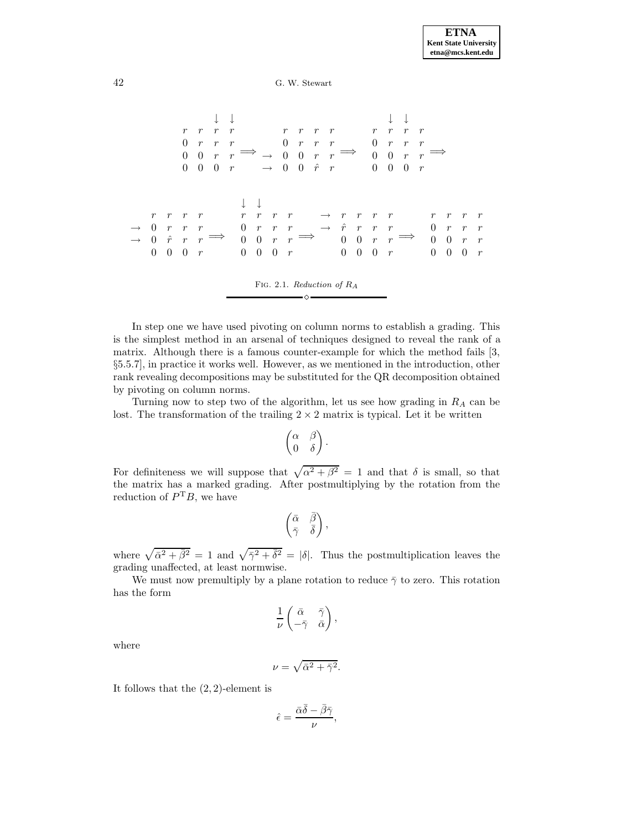

In step one we have used pivoting on column norms to establish a grading. This is the simplest method in an arsenal of techniques designed to reveal the rank of a matrix. Although there is a famous counter-example for which the method fails [3, §5.5.7], in practice it works well. However, as we mentioned in the introduction, other rank revealing decompositions may be substituted for the QR decomposition obtained by pivoting on column norms.

Turning now to step two of the algorithm, let us see how grading in  $R_A$  can be lost. The transformation of the trailing  $2 \times 2$  matrix is typical. Let it be written

$$
\begin{pmatrix} \alpha & \beta \\ 0 & \delta \end{pmatrix}.
$$

For definiteness we will suppose that  $\sqrt{\alpha^2 + \beta^2} = 1$  and that  $\delta$  is small, so that the matrix has a marked grading. After postmultiplying by the rotation from the reduction of  $P^{T}B$ , we have

$$
\begin{pmatrix} \bar{\alpha} & \bar{\beta} \\ \bar{\gamma} & \bar{\delta} \end{pmatrix},
$$

where  $\sqrt{\bar{\alpha}^2 + \bar{\beta}^2} = 1$  and  $\sqrt{\bar{\gamma}^2 + \bar{\delta}^2} = |\delta|$ . Thus the postmultiplication leaves the grading unaffected, at least normwise.

We must now premultiply by a plane rotation to reduce  $\bar{\gamma}$  to zero. This rotation has the form

$$
\frac{1}{\nu} \begin{pmatrix} \bar{\alpha} & \bar{\gamma} \\ -\bar{\gamma} & \bar{\alpha} \end{pmatrix},
$$

where

$$
\nu=\sqrt{\bar{\alpha}^2+\bar{\gamma}^2}.
$$

It follows that the (2, 2)-element is

$$
\hat{\epsilon} = \frac{\bar{\alpha}\bar{\delta} - \bar{\beta}\bar{\gamma}}{\nu},
$$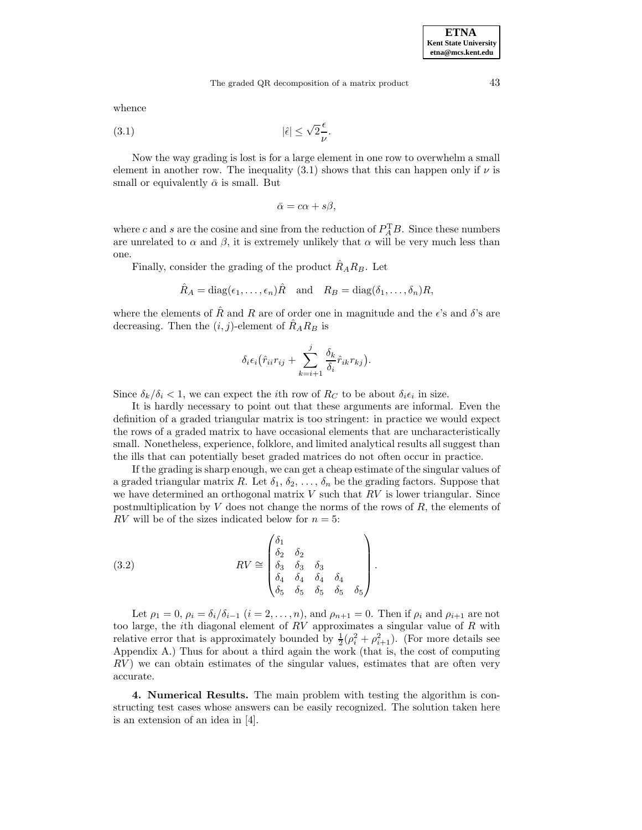whence

(3.1) 
$$
|\hat{\epsilon}| \le \sqrt{2} \frac{\epsilon}{\nu}.
$$

Now the way grading is lost is for a large element in one row to overwhelm a small element in another row. The inequality (3.1) shows that this can happen only if  $\nu$  is small or equivalently  $\bar{\alpha}$  is small. But

$$
\bar{\alpha} = c\alpha + s\beta,
$$

where c and s are the cosine and sine from the reduction of  $P_A^{\rm T}B$ . Since these numbers are unrelated to  $\alpha$  and  $\beta$ , it is extremely unlikely that  $\alpha$  will be very much less than one.

Finally, consider the grading of the product  $R_A R_B$ . Let

$$
\hat{R}_A = \text{diag}(\epsilon_1, \dots, \epsilon_n) \hat{R}
$$
 and  $R_B = \text{diag}(\delta_1, \dots, \delta_n) R$ ,

where the elements of R and R are of order one in magnitude and the  $\epsilon$ 's and  $\delta$ 's are decreasing. Then the  $(i, j)$ -element of  $R_A R_B$  is

$$
\delta_i \epsilon_i (\hat{r}_{ii} r_{ij} + \sum_{k=i+1}^j \frac{\delta_k}{\delta_i} \hat{r}_{ik} r_{kj}).
$$

Since  $\delta_k/\delta_i < 1$ , we can expect the *i*th row of  $R_C$  to be about  $\delta_i \epsilon_i$  in size.

It is hardly necessary to point out that these arguments are informal. Even the definition of a graded triangular matrix is too stringent: in practice we would expect the rows of a graded matrix to have occasional elements that are uncharacteristically small. Nonetheless, experience, folklore, and limited analytical results all suggest than the ills that can potentially beset graded matrices do not often occur in practice.

If the grading is sharp enough, we can get a cheap estimate of the singular values of a graded triangular matrix R. Let  $\delta_1, \delta_2, \ldots, \delta_n$  be the grading factors. Suppose that we have determined an orthogonal matrix  $V$  such that  $RV$  is lower triangular. Since postmultiplication by  $V$  does not change the norms of the rows of  $R$ , the elements of  $RV$  will be of the sizes indicated below for  $n = 5$ :

(3.2) 
$$
RV \cong \begin{pmatrix} \delta_1 \\ \delta_2 & \delta_2 \\ \delta_3 & \delta_3 & \delta_3 \\ \delta_4 & \delta_4 & \delta_4 \\ \delta_5 & \delta_5 & \delta_5 & \delta_5 \end{pmatrix}.
$$

Let  $\rho_1 = 0$ ,  $\rho_i = \delta_i/\delta_{i-1}$   $(i = 2, \ldots, n)$ , and  $\rho_{n+1} = 0$ . Then if  $\rho_i$  and  $\rho_{i+1}$  are not too large, the *i*th diagonal element of  $RV$  approximates a singular value of  $R$  with relative error that is approximately bounded by  $\frac{1}{2}(\rho_i^2 + \rho_{i+1}^2)$ . (For more details see Appendix A.) Thus for about a third again the work (that is, the cost of computing  $RV$ ) we can obtain estimates of the singular values, estimates that are often very accurate.

**4. Numerical Results.** The main problem with testing the algorithm is constructing test cases whose answers can be easily recognized. The solution taken here is an extension of an idea in [4].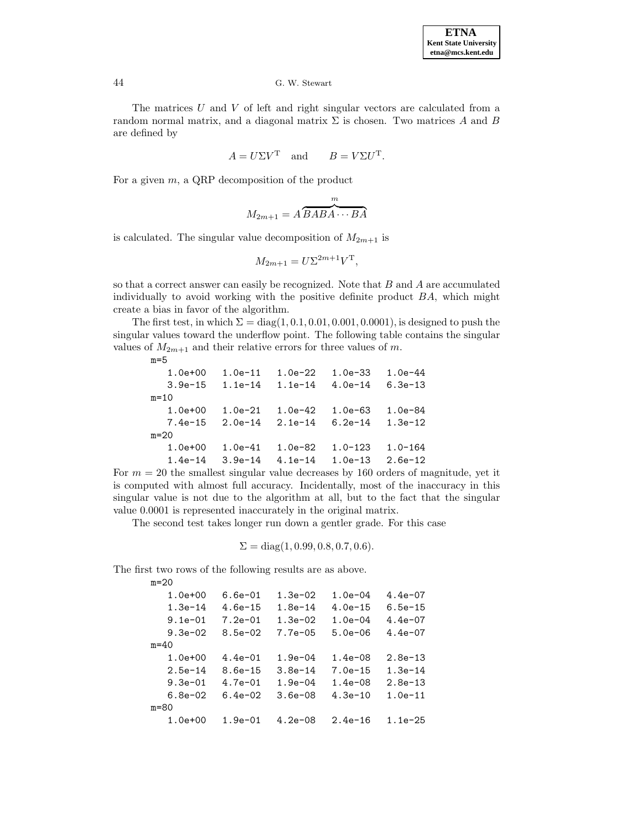The matrices  $U$  and  $V$  of left and right singular vectors are calculated from a random normal matrix, and a diagonal matrix  $\Sigma$  is chosen. Two matrices A and B are defined by

$$
A = U\Sigma V^{\mathrm{T}} \quad \text{and} \qquad B = V\Sigma U^{\mathrm{T}}.
$$

For a given  $m$ , a QRP decomposition of the product

$$
M_{2m+1} = A \overbrace{BABA\cdots BA}^{m}
$$

is calculated. The singular value decomposition of  $M_{2m+1}$  is

$$
M_{2m+1} = U\Sigma^{2m+1}V^{\mathrm{T}},
$$

so that a correct answer can easily be recognized. Note that  $B$  and  $A$  are accumulated individually to avoid working with the positive definite product  $BA$ , which might create a bias in favor of the algorithm.

The first test, in which  $\Sigma = diag(1, 0.1, 0.01, 0.001, 0.0001)$ , is designed to push the singular values toward the underflow point. The following table contains the singular values of  $M_{2m+1}$  and their relative errors for three values of m.

| $m=5$       |             |           |             |             |  |
|-------------|-------------|-----------|-------------|-------------|--|
| $1.0e + 00$ | $1.0e-11$   | $1.0e-22$ | $1.0e - 33$ | $1.0e-44$   |  |
| $3.9e-15$   | $1.1e-14$   | $1.1e-14$ | $4.0e-14$   | $6.3e-13$   |  |
| $m=10$      |             |           |             |             |  |
| $1.0e + 00$ | $1.0e - 21$ | $1.0e-42$ | $1.0e-63$   | 1.0e-84     |  |
| $7.4e-15$   | $2.0e-14$   | $2.1e-14$ | $6.2e-14$   | $1.3e-12$   |  |
| $m=20$      |             |           |             |             |  |
| $1.0e + 00$ | $1.0e-41$   | $1.0e-82$ | $1.0 - 123$ | $1.0 - 164$ |  |
| $1.4e-14$   | $3.9e-14$   | $4.1e-14$ | $1.0e-13$   | $2.6e-12$   |  |

For  $m = 20$  the smallest singular value decreases by 160 orders of magnitude, yet it is computed with almost full accuracy. Incidentally, most of the inaccuracy in this singular value is not due to the algorithm at all, but to the fact that the singular value 0.0001 is represented inaccurately in the original matrix.

The second test takes longer run down a gentler grade. For this case

$$
\Sigma = diag(1, 0.99, 0.8, 0.7, 0.6).
$$

The first two rows of the following results are as above.

 $m = 20$ 

|          | $III = 2.0$ |             |             |             |             |  |
|----------|-------------|-------------|-------------|-------------|-------------|--|
|          | $1.0e + 00$ | $6.6e - 01$ | $1.3e-02$   | $1.0e-04$   | $4.4e-07$   |  |
|          | $1.3e-14$   | $4.6e-15$   | $1.8e-14$   | $4.0e-15$   | $6.5e-15$   |  |
|          | $9.1e - 01$ | $7.2e-01$   | $1.3e-02$   | $1.0e-04$   | $4.4e-07$   |  |
|          | $9.3e - 02$ | $8.5e-02$   | $7.7e - 05$ | $5.0e - 06$ | $4.4e-07$   |  |
|          | $m=40$      |             |             |             |             |  |
|          | $1.0e + 00$ | $4.4e-01$   | $1.9e - 04$ | $1.4e-08$   | $2.8e-13$   |  |
|          | $2.5e-14$   | $8.6e - 15$ | $3.8e - 14$ | $7.0e-15$   | $1.3e-14$   |  |
|          | $9.3e - 01$ | $4.7e - 01$ | 1.9e $-04$  | $1.4e-08$   | 2.8e-13     |  |
|          | $6.8e-02$   | $6.4e-02$   | $3.6e - 08$ | $4.3e-10$   | $1.0e-11$   |  |
| $m = 80$ |             |             |             |             |             |  |
|          | $1.0e + 00$ | $1.9e - 01$ | $4.2e - 08$ | $2.4e-16$   | $1.1e - 25$ |  |
|          |             |             |             |             |             |  |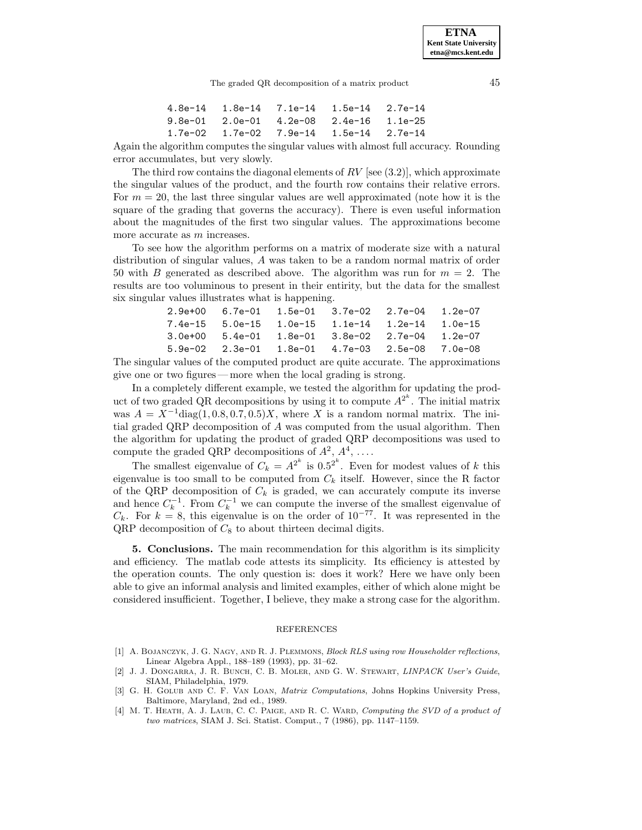|  | $4.8e-14$ $1.8e-14$ $7.1e-14$ $1.5e-14$ $2.7e-14$ |  |
|--|---------------------------------------------------|--|
|  | $9.8e-01$ $2.0e-01$ $4.2e-08$ $2.4e-16$ $1.1e-25$ |  |
|  | $1.7e-02$ $1.7e-02$ $7.9e-14$ $1.5e-14$ $2.7e-14$ |  |

Again the algorithm computes the singular values with almost full accuracy. Rounding error accumulates, but very slowly.

The third row contains the diagonal elements of  $RV$  [see (3.2)], which approximate the singular values of the product, and the fourth row contains their relative errors. For  $m = 20$ , the last three singular values are well approximated (note how it is the square of the grading that governs the accuracy). There is even useful information about the magnitudes of the first two singular values. The approximations become more accurate as m increases.

To see how the algorithm performs on a matrix of moderate size with a natural distribution of singular values, A was taken to be a random normal matrix of order 50 with B generated as described above. The algorithm was run for  $m = 2$ . The results are too voluminous to present in their entirity, but the data for the smallest six singular values illustrates what is happening.

| $2.9e+00$ 6.7e-01 1.5e-01 3.7e-02 2.7e-04 1.2e-07                 |  |  |
|-------------------------------------------------------------------|--|--|
| $7.4e-15$ 5.0e-15 1.0e-15 1.1e-14 1.2e-14 1.0e-15                 |  |  |
| $3.0$ e+00 $5.4$ e-01 $1.8$ e-01 $3.8$ e-02 $2.7$ e-04 $1.2$ e-07 |  |  |
| $5.9e-02$ $2.3e-01$ $1.8e-01$ $4.7e-03$ $2.5e-08$ $7.0e-08$       |  |  |

The singular values of the computed product are quite accurate. The approximations give one or two figures—more when the local grading is strong.

In a completely different example, we tested the algorithm for updating the product of two graded QR decompositions by using it to compute  $A^{2^k}$ . The initial matrix was  $A = X^{-1}$ diag(1, 0.8, 0.7, 0.5)X, where X is a random normal matrix. The initial graded QRP decomposition of A was computed from the usual algorithm. Then the algorithm for updating the product of graded QRP decompositions was used to compute the graded QRP decompositions of  $A^2$ ,  $A^4$ , ....

The smallest eigenvalue of  $C_k = A^{2^k}$  is 0.5<sup>2k</sup>. Even for modest values of k this eigenvalue is too small to be computed from  $C_k$  itself. However, since the R factor of the QRP decomposition of  $C_k$  is graded, we can accurately compute its inverse and hence  $C_k^{-1}$ . From  $C_k^{-1}$  we can compute the inverse of the smallest eigenvalue of  $C_k$ . For  $k = 8$ , this eigenvalue is on the order of 10<sup>-77</sup>. It was represented in the  $QRP$  decomposition of  $C_8$  to about thirteen decimal digits.

**5. Conclusions.** The main recommendation for this algorithm is its simplicity and efficiency. The matlab code attests its simplicity. Its efficiency is attested by the operation counts. The only question is: does it work? Here we have only been able to give an informal analysis and limited examples, either of which alone might be considered insufficient. Together, I believe, they make a strong case for the algorithm.

## REFERENCES

- [1] A. BOJANCZYK, J. G. NAGY, AND R. J. PLEMMONS, Block RLS using row Householder reflections, Linear Algebra Appl., 188–189 (1993), pp. 31–62.
- [2] J. J. Dongarra, J. R. Bunch, C. B. Moler, and G. W. Stewart, LINPACK User's Guide, SIAM, Philadelphia, 1979.
- [3] G. H. GOLUB AND C. F. VAN LOAN, Matrix Computations, Johns Hopkins University Press, Baltimore, Maryland, 2nd ed., 1989.
- [4] M. T. HEATH, A. J. LAUB, C. C. PAIGE, AND R. C. WARD, Computing the SVD of a product of two matrices, SIAM J. Sci. Statist. Comput., 7 (1986), pp. 1147–1159.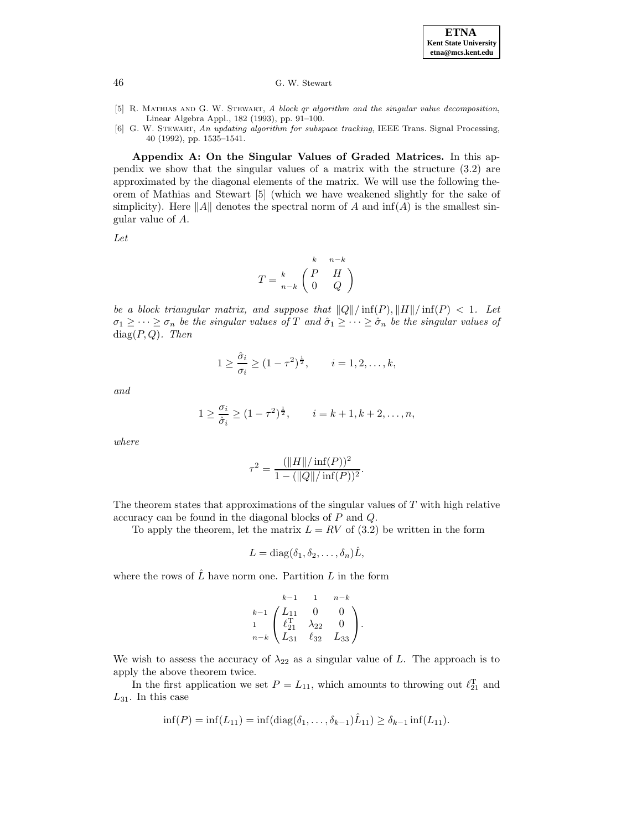

- [5] R. Mathias and G. W. Stewart, A block qr algorithm and the singular value decomposition, Linear Algebra Appl., 182 (1993), pp. 91–100.
- [6] G. W. Stewart, An updating algorithm for subspace tracking, IEEE Trans. Signal Processing, 40 (1992), pp. 1535–1541.

**Appendix A: On the Singular Values of Graded Matrices.** In this appendix we show that the singular values of a matrix with the structure (3.2) are approximated by the diagonal elements of the matrix. We will use the following theorem of Mathias and Stewart [5] (which we have weakened slightly for the sake of simplicity). Here  $||A||$  denotes the spectral norm of A and inf(A) is the smallest singular value of A.

Let

$$
T = \frac{k}{n-k} \begin{pmatrix} P & H \\ 0 & Q \end{pmatrix}
$$

be a block triangular matrix, and suppose that  $||Q|| / \inf(P)$ ,  $||H|| / \inf(P) < 1$ . Let  $\sigma_1 \geq \cdots \geq \sigma_n$  be the singular values of T and  $\hat{\sigma}_1 \geq \cdots \geq \hat{\sigma}_n$  be the singular values of  $diag(P,Q)$ . Then

$$
1 \ge \frac{\hat{\sigma}_i}{\sigma_i} \ge (1 - \tau^2)^{\frac{1}{2}}, \qquad i = 1, 2, ..., k,
$$

and

$$
1 \ge \frac{\sigma_i}{\hat{\sigma}_i} \ge (1 - \tau^2)^{\frac{1}{2}}, \qquad i = k + 1, k + 2, \dots, n,
$$

where

$$
\tau^{2} = \frac{(\|H\|/\inf(P))^{2}}{1 - (\|Q\|/\inf(P))^{2}}.
$$

The theorem states that approximations of the singular values of  $T$  with high relative accuracy can be found in the diagonal blocks of P and Q.

To apply the theorem, let the matrix  $L = RV$  of (3.2) be written in the form

$$
L = \mathrm{diag}(\delta_1, \delta_2, \dots, \delta_n)\hat{L},
$$

where the rows of  $\hat{L}$  have norm one. Partition L in the form

$$
\begin{array}{ccc}\nk-1 & 1 & n-k \\
k-1 & \begin{pmatrix} L_{11} & 0 & 0 \\
\ell_{21}^{\rm T} & \lambda_{22} & 0 \\
n-k & L_{31} & \ell_{32} & L_{33}\n\end{pmatrix}.\n\end{array}
$$

We wish to assess the accuracy of  $\lambda_{22}$  as a singular value of L. The approach is to apply the above theorem twice.

In the first application we set  $P = L_{11}$ , which amounts to throwing out  $\ell_{21}^{\rm T}$  and  $L_{31}$ . In this case

$$
\inf(P) = \inf(L_{11}) = \inf(\text{diag}(\delta_1, \ldots, \delta_{k-1})\hat{L}_{11}) \ge \delta_{k-1} \inf(L_{11}).
$$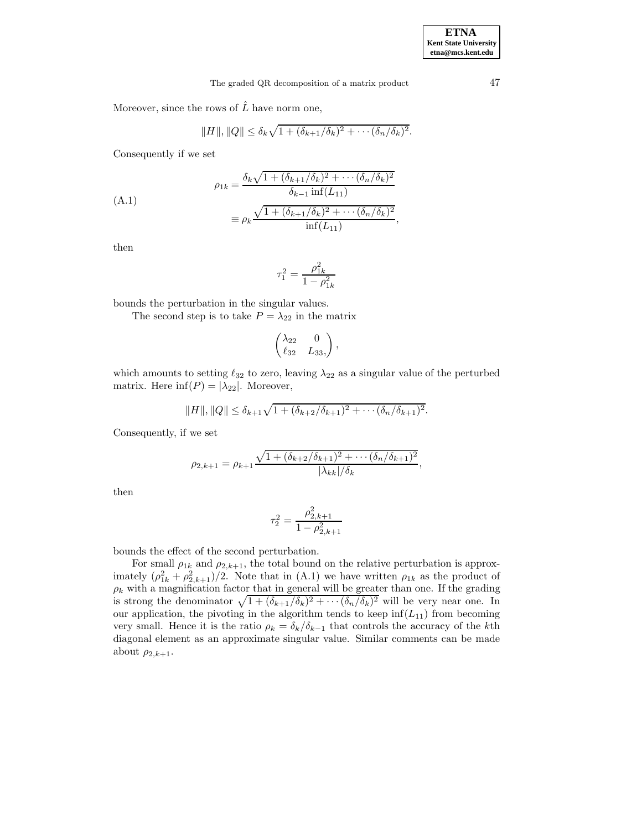Moreover, since the rows of  $\hat{L}$  have norm one,

$$
||H||, ||Q|| \leq \delta_k \sqrt{1 + (\delta_{k+1}/\delta_k)^2 + \cdots (\delta_n/\delta_k)^2}.
$$

Consequently if we set

(A.1)  
\n
$$
\rho_{1k} = \frac{\delta_k \sqrt{1 + (\delta_{k+1}/\delta_k)^2 + \cdots + (\delta_n/\delta_k)^2}}{\delta_{k-1} \inf(L_{11})}
$$
\n
$$
\equiv \rho_k \frac{\sqrt{1 + (\delta_{k+1}/\delta_k)^2 + \cdots + (\delta_n/\delta_k)^2}}{\inf(L_{11})},
$$

then

$$
\tau_1^2 = \frac{\rho_{1k}^2}{1-\rho_{1k}^2}
$$

bounds the perturbation in the singular values.

The second step is to take  $P = \lambda_{22}$  in the matrix

$$
\begin{pmatrix} \lambda_{22} & 0 \\ \ell_{32} & L_{33}, \end{pmatrix},
$$

which amounts to setting  $\ell_{32}$  to zero, leaving  $\lambda_{22}$  as a singular value of the perturbed matrix. Here  $\inf(P) = |\lambda_{22}|$ . Moreover,

$$
||H||, ||Q|| \leq \delta_{k+1} \sqrt{1 + (\delta_{k+2}/\delta_{k+1})^2 + \cdots + (\delta_n/\delta_{k+1})^2}.
$$

Consequently, if we set

$$
\rho_{2,k+1} = \rho_{k+1} \frac{\sqrt{1 + (\delta_{k+2}/\delta_{k+1})^2 + \cdots + (\delta_n/\delta_{k+1})^2}}{|\lambda_{kk}|/\delta_k},
$$

then

$$
\tau_2^2 = \frac{\rho_{2,k+1}^2}{1 - \rho_{2,k+1}^2}
$$

bounds the effect of the second perturbation.

For small  $\rho_{1k}$  and  $\rho_{2,k+1}$ , the total bound on the relative perturbation is approximately  $(\rho_{1k}^2 + \rho_{2,k+1}^2)/2$ . Note that in (A.1) we have written  $\rho_{1k}$  as the product of  $\rho_k$  with a magnification factor that in general will be greater than one. If the grading is strong the denominator  $\sqrt{1+(\delta_{k+1}/\delta_k)^2 + \cdots + (\delta_n/\delta_k)^2}$  will be very near one. In our application, the pivoting in the algorithm tends to keep  $\inf(L_{11})$  from becoming very small. Hence it is the ratio  $\rho_k = \delta_k/\delta_{k-1}$  that controls the accuracy of the kth diagonal element as an approximate singular value. Similar comments can be made about  $\rho_{2,k+1}$ .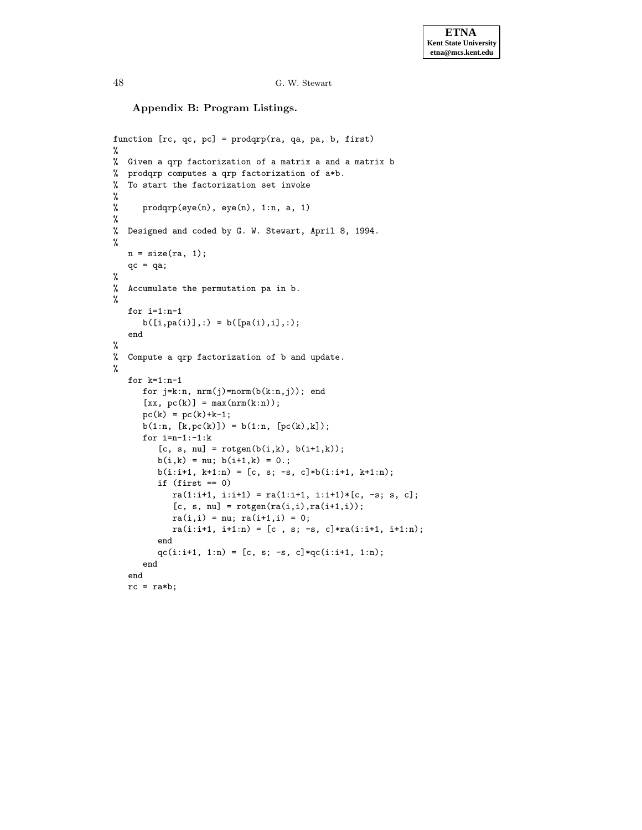**Appendix B: Program Listings.**

```
function [rc, qc, pc] = prodqrp(ra, qa, pa, b, first)
%
% Given a qrp factorization of a matrix a and a matrix b
% prodqrp computes a qrp factorization of a*b.
% To start the factorization set invoke
%
% prodqrp(eye(n), eye(n), 1:n, a, 1)
%
% Designed and coded by G. W. Stewart, April 8, 1994.
%
   n = size(n, 1);qc = qa;%
% Accumulate the permutation pa in b.
%
   for i=1:n-1
      b([i,pa(i)],:) = b([pa(i),i],:);end
%
% Compute a qrp factorization of b and update.
%
   for k=1:n-1
      for j=k:n, nrm(j)=norm(b(k:n,j)); end
      [xx, pc(k)] = max(nrm(k:n));pc(k) = pc(k)+k-1;b(1:n, [k, pc(k)]) = b(1:n, [pc(k), k]);
      for i=n-1:-1:k[c, s, nu] = rotgen(b(i,k), b(i+1,k));b(i,k) = nu; b(i+1,k) = 0.;
         b(i:i+1, k+1:n) = [c, s; -s, c]*b(i:i+1, k+1:n);if (first == 0)
            ra(1:i+1, i:i+1) = ra(1:i+1, i:i+1)*(c, -s; s, c];[c, s, nu] = rotgen(ra(i,i),ra(i+1,i));ra(i, i) = nu; ra(i+1, i) = 0;ra(i:i+1, i+1:n) = [c, s; -s, c]*ra(i:i+1, i+1:n);end
         qc(i:i+1, 1:n) = [c, s; -s, c]*qc(i:i+1, 1:n);end
   end
   rc = ra*b;
```